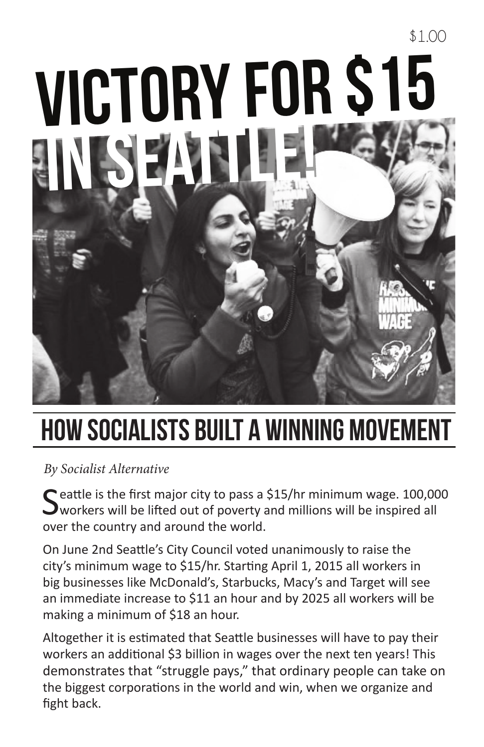# Victory for \$15 in Seattle!

\$1.00

# How Socialists Built a Winning Movement

*By Socialist Alternative*

 $\bigcap$  eattle is the first major city to pass a \$15/hr minimum wage. 100,000  $\Box$  workers will be lifted out of poverty and millions will be inspired all over the country and around the world.

On June 2nd Seattle's City Council voted unanimously to raise the city's minimum wage to \$15/hr. Starting April 1, 2015 all workers in big businesses like McDonald's, Starbucks, Macy's and Target will see an immediate increase to \$11 an hour and by 2025 all workers will be making a minimum of \$18 an hour.

Altogether it is estimated that Seattle businesses will have to pay their workers an additional \$3 billion in wages over the next ten years! This demonstrates that "struggle pays," that ordinary people can take on the biggest corporations in the world and win, when we organize and fight back.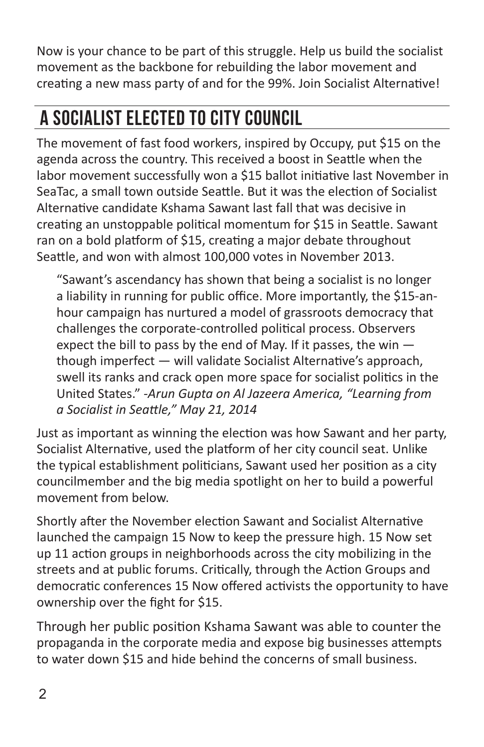Now is your chance to be part of this struggle. Help us build the socialist movement as the backbone for rebuilding the labor movement and creating a new mass party of and for the 99%. Join Socialist Alternative!

## A Socialist ELECTED TO CITY COUNCIL

The movement of fast food workers, inspired by Occupy, put \$15 on the agenda across the country. This received a boost in Seattle when the labor movement successfully won a \$15 ballot initiative last November in SeaTac, a small town outside Seattle. But it was the election of Socialist Alternative candidate Kshama Sawant last fall that was decisive in creating an unstoppable political momentum for \$15 in Seattle. Sawant ran on a bold platform of \$15, creating a major debate throughout Seattle, and won with almost 100,000 votes in November 2013.

"Sawant's ascendancy has shown that being a socialist is no longer a liability in running for public office. More importantly, the \$15-anhour campaign has nurtured a model of grassroots democracy that challenges the corporate-controlled political process. Observers expect the bill to pass by the end of May. If it passes, the win  $$ though imperfect — will validate Socialist Alternative's approach, swell its ranks and crack open more space for socialist politics in the United States." *-Arun Gupta on Al Jazeera America, "Learning from a Socialist in Seattle," May 21, 2014*

Just as important as winning the election was how Sawant and her party, Socialist Alternative, used the platform of her city council seat. Unlike the typical establishment politicians, Sawant used her position as a city councilmember and the big media spotlight on her to build a powerful movement from below.

Shortly after the November election Sawant and Socialist Alternative launched the campaign 15 Now to keep the pressure high. 15 Now set up 11 action groups in neighborhoods across the city mobilizing in the streets and at public forums. Critically, through the Action Groups and democratic conferences 15 Now offered activists the opportunity to have ownership over the fight for \$15.

Through her public position Kshama Sawant was able to counter the propaganda in the corporate media and expose big businesses attempts to water down \$15 and hide behind the concerns of small business.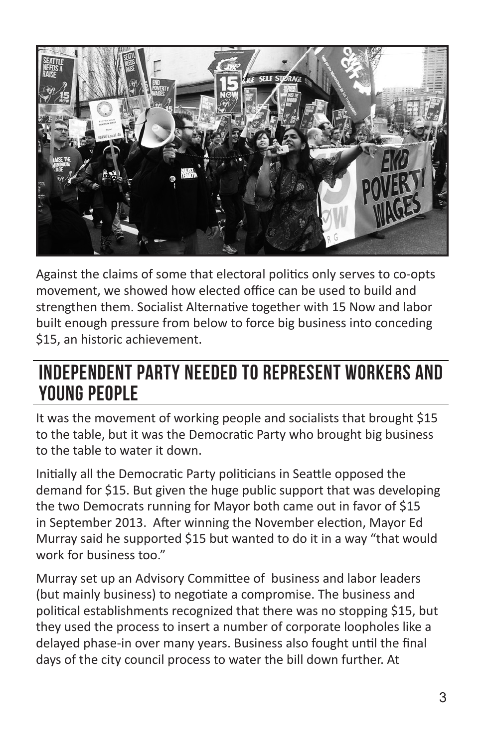

Against the claims of some that electoral politics only serves to co-opts movement, we showed how elected office can be used to build and strengthen them. Socialist Alternative together with 15 Now and labor built enough pressure from below to force big business into conceding \$15, an historic achievement.

### Independent Party Needed to Represent Workers and YOUNG PEOPLE

It was the movement of working people and socialists that brought \$15 to the table, but it was the Democratic Party who brought big business to the table to water it down.

Initially all the Democratic Party politicians in Seattle opposed the demand for \$15. But given the huge public support that was developing the two Democrats running for Mayor both came out in favor of \$15 in September 2013. After winning the November election, Mayor Ed Murray said he supported \$15 but wanted to do it in a way "that would work for business too."

Murray set up an Advisory Committee of business and labor leaders (but mainly business) to negotiate a compromise. The business and political establishments recognized that there was no stopping \$15, but they used the process to insert a number of corporate loopholes like a delayed phase-in over many years. Business also fought until the final days of the city council process to water the bill down further. At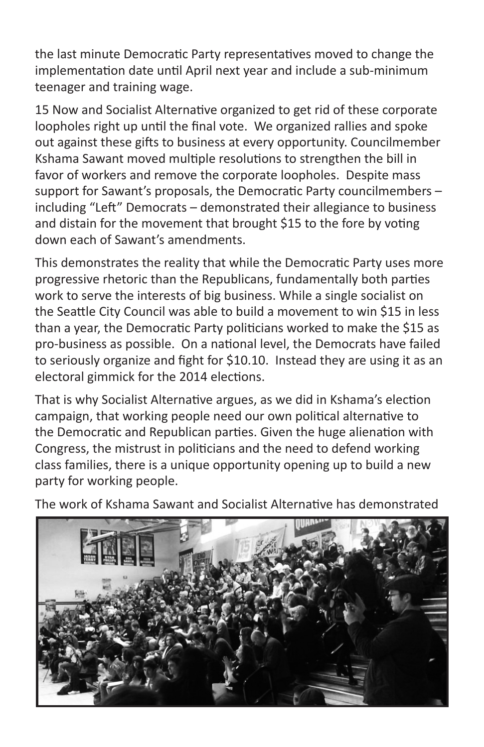the last minute Democratic Party representatives moved to change the implementation date until April next year and include a sub-minimum teenager and training wage.

15 Now and Socialist Alternative organized to get rid of these corporate loopholes right up until the final vote. We organized rallies and spoke out against these gifts to business at every opportunity. Councilmember Kshama Sawant moved multiple resolutions to strengthen the bill in favor of workers and remove the corporate loopholes. Despite mass support for Sawant's proposals, the Democratic Party councilmembers – including "Left" Democrats – demonstrated their allegiance to business and distain for the movement that brought \$15 to the fore by voting down each of Sawant's amendments.

This demonstrates the reality that while the Democratic Party uses more progressive rhetoric than the Republicans, fundamentally both parties work to serve the interests of big business. While a single socialist on the Seattle City Council was able to build a movement to win \$15 in less than a year, the Democratic Party politicians worked to make the \$15 as pro-business as possible. On a national level, the Democrats have failed to seriously organize and fight for \$10.10. Instead they are using it as an electoral gimmick for the 2014 elections.

That is why Socialist Alternative argues, as we did in Kshama's election campaign, that working people need our own political alternative to the Democratic and Republican parties. Given the huge alienation with Congress, the mistrust in politicians and the need to defend working class families, there is a unique opportunity opening up to build a new party for working people.

The work of Kshama Sawant and Socialist Alternative has demonstrated

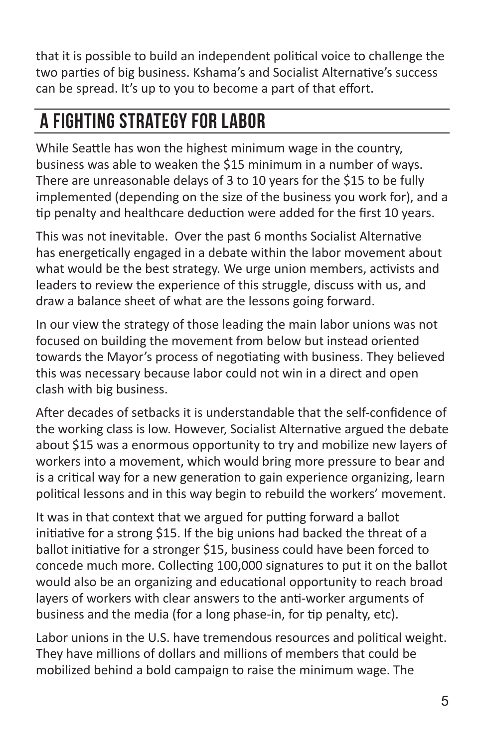that it is possible to build an independent political voice to challenge the two parties of big business. Kshama's and Socialist Alternative's success can be spread. It's up to you to become a part of that effort.

## A fighting strategy for labor

While Seattle has won the highest minimum wage in the country, business was able to weaken the \$15 minimum in a number of ways. There are unreasonable delays of 3 to 10 years for the \$15 to be fully implemented (depending on the size of the business you work for), and a tip penalty and healthcare deduction were added for the first 10 years.

This was not inevitable. Over the past 6 months Socialist Alternative has energetically engaged in a debate within the labor movement about what would be the best strategy. We urge union members, activists and leaders to review the experience of this struggle, discuss with us, and draw a balance sheet of what are the lessons going forward.

In our view the strategy of those leading the main labor unions was not focused on building the movement from below but instead oriented towards the Mayor's process of negotiating with business. They believed this was necessary because labor could not win in a direct and open clash with big business.

After decades of setbacks it is understandable that the self-confidence of the working class is low. However, Socialist Alternative argued the debate about \$15 was a enormous opportunity to try and mobilize new layers of workers into a movement, which would bring more pressure to bear and is a critical way for a new generation to gain experience organizing, learn political lessons and in this way begin to rebuild the workers' movement.

It was in that context that we argued for putting forward a ballot initiative for a strong \$15. If the big unions had backed the threat of a ballot initiative for a stronger \$15, business could have been forced to concede much more. Collecting 100,000 signatures to put it on the ballot would also be an organizing and educational opportunity to reach broad layers of workers with clear answers to the anti-worker arguments of business and the media (for a long phase-in, for tip penalty, etc).

Labor unions in the U.S. have tremendous resources and political weight. They have millions of dollars and millions of members that could be mobilized behind a bold campaign to raise the minimum wage. The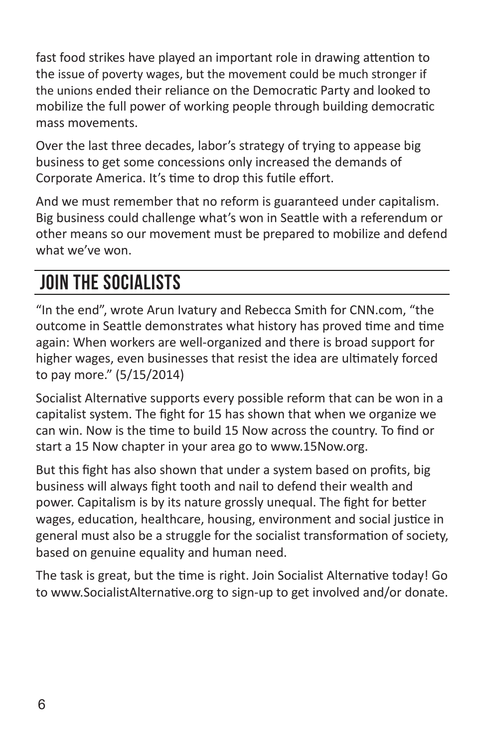fast food strikes have played an important role in drawing attention to the issue of poverty wages, but the movement could be much stronger if the unions ended their reliance on the Democratic Party and looked to mobilize the full power of working people through building democratic mass movements.

Over the last three decades, labor's strategy of trying to appease big business to get some concessions only increased the demands of Corporate America. It's time to drop this futile effort.

And we must remember that no reform is guaranteed under capitalism. Big business could challenge what's won in Seattle with a referendum or other means so our movement must be prepared to mobilize and defend what we've won.

## Join the socialists

"In the end", wrote Arun Ivatury and Rebecca Smith for CNN.com, "the outcome in Seattle demonstrates what history has proved time and time again: When workers are well-organized and there is broad support for higher wages, even businesses that resist the idea are ultimately forced to pay more." (5/15/2014)

Socialist Alternative supports every possible reform that can be won in a capitalist system. The fight for 15 has shown that when we organize we can win. Now is the time to build 15 Now across the country. To find or start a 15 Now chapter in your area go to www.15Now.org.

But this fight has also shown that under a system based on profits, big business will always fight tooth and nail to defend their wealth and power. Capitalism is by its nature grossly unequal. The fight for better wages, education, healthcare, housing, environment and social justice in general must also be a struggle for the socialist transformation of society, based on genuine equality and human need.

The task is great, but the time is right. Join Socialist Alternative today! Go to www.SocialistAlternative.org to sign-up to get involved and/or donate.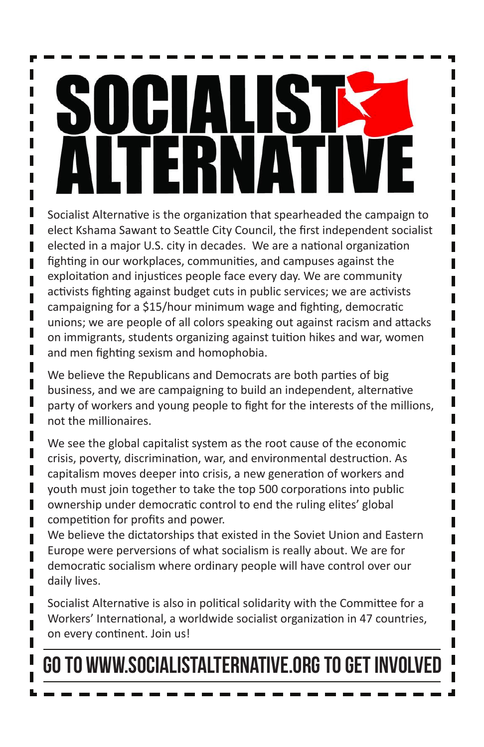Socialist Alternative is the organization that spearheaded the campaign to elect Kshama Sawant to Seattle City Council, the first independent socialist elected in a major U.S. city in decades. We are a national organization fighting in our workplaces, communities, and campuses against the exploitation and injustices people face every day. We are community activists fighting against budget cuts in public services; we are activists campaigning for a \$15/hour minimum wage and fighting, democratic unions; we are people of all colors speaking out against racism and attacks on immigrants, students organizing against tuition hikes and war, women and men fighting sexism and homophobia.

П П П

П

П П Π

We believe the Republicans and Democrats are both parties of big business, and we are campaigning to build an independent, alternative party of workers and young people to fight for the interests of the millions, not the millionaires.

We see the global capitalist system as the root cause of the economic crisis, poverty, discrimination, war, and environmental destruction. As capitalism moves deeper into crisis, a new generation of workers and youth must join together to take the top 500 corporations into public ownership under democratic control to end the ruling elites' global competition for profits and power.

We believe the dictatorships that existed in the Soviet Union and Eastern Europe were perversions of what socialism is really about. We are for democratic socialism where ordinary people will have control over our daily lives.

Socialist Alternative is also in political solidarity with the Committee for a Workers' International, a worldwide socialist organization in 47 countries, on every continent. Join us!

## Go to www.SocialistAlternative.org to get involved